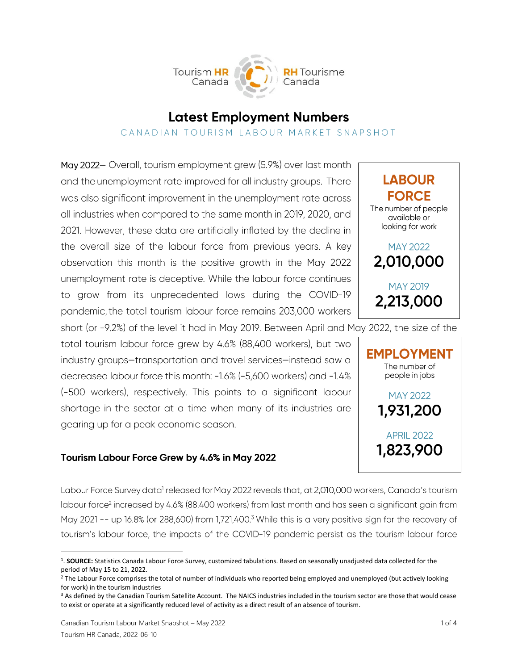Tourism HR **H** Tourisme Canada

# **Latest Employment Numbers**

## CANADIAN TOURISM LABOUR MARKET SNAPSHOT

May 2022- Overall, tourism employment grew (5.9%) over last month and the unemployment rate improved for all industry groups. There was also significant improvement in the unemployment rate across all industries when compared to the same month in 2019, 2020, and 2021. However, these data are artificially inflated by the decline in the overall size of the labour force from previous years. A key observation this month is the positive growth in the May 2022 unemployment rate is deceptive. While the labour force continues to grow from its unprecedented lows during the COVID-19 pandemic, the total tourism labour force remains 203,000 workers

short (or -9.2%) of the level it had in May 2019. Between April and May 2022, the size of the

total tourism labour force grew by 4.6% (88,400 workers), but two industry groups-transportation and travel services-instead saw a decreased labour force this month: -1.6% (-5,600 workers) and -1.4% (-500 workers), respectively. This points to a significant labour shortage in the sector at a time when many of its industries are gearing up for a peak economic season.

## Tourism Labour Force Grew by 4.6% in May 2022

Labour Force Survey data<sup>1</sup> released for May 2022 reveals that, at 2,010,000 workers, Canada's tourism labour force<sup>2</sup> increased by 4.6% (88,400 workers) from last month and has seen a significant gain from May 2021 -- up 16.8% (or 288,600) from 1,721,400.<sup>3</sup> While this is a very positive sign for the recovery of tourism's labour force, the impacts of the COVID-19 pandemic persist as the tourism labour force





<sup>&</sup>lt;sup>1</sup>. SOURCE: Statistics Canada Labour Force Survey, customized tabulations. Based on seasonally unadjusted data collected for the period of May 15 to 21, 2022.

<sup>&</sup>lt;sup>2</sup> The Labour Force comprises the total of number of individuals who reported being employed and unemployed (but actively looking for work) in the tourism industries

<sup>&</sup>lt;sup>3</sup> As defined by the Canadian Tourism Satellite Account. The NAICS industries included in the tourism sector are those that would cease to exist or operate at a significantly reduced level of activity as a direct result of an absence of tourism.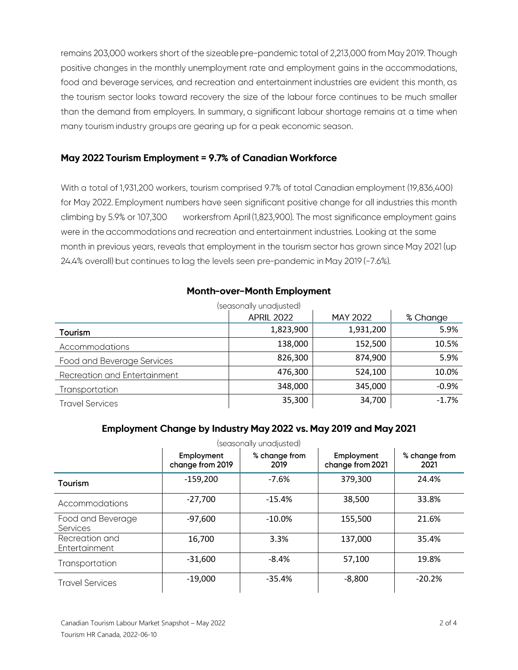remains 203,000 workers short of the sizeable pre-pandemic total of 2,213,000 from May 2019. Though positive changes in the monthly unemployment rate and employment gains in the accommodations, food and beverage services, and recreation and entertainment industries are evident this month, as the tourism sector looks toward recovery the size of the labour force continues to be much smaller than the demand from employers. In summary, a significant labour shortage remains at a time when many tourism industry groups are gearing up for a peak economic season.

## May 2022 Tourism Employment = 9.7% of Canadian Workforce

With a total of 1,931,200 workers, tourism comprised 9.7% of total Canadian employment (19,836,400) for May 2022. Employment numbers have seen significant positive change for all industries this month climbing by 5.9% or 107,300 workersfrom April (1,823,900). The most significance employment gains were in the accommodations and recreation and entertainment industries. Looking at the same month in previous years, reveals that employment in the tourism sector has grown since May 2021 (up 24.4% overall) but continues to lag the levels seen pre-pandemic in May 2019 (-7.6%).

#### **Month-over-Month Employment**

|                                     | (seasonally unadjusted) |                 |          |
|-------------------------------------|-------------------------|-----------------|----------|
|                                     | <b>APRIL 2022</b>       | <b>MAY 2022</b> | % Change |
| Tourism                             | 1,823,900               | 1,931,200       | 5.9%     |
| Accommodations                      | 138,000                 | 152,500         | 10.5%    |
| Food and Beverage Services          | 826,300                 | 874,900         | 5.9%     |
| <b>Recreation and Entertainment</b> | 476,300                 | 524,100         | 10.0%    |
| Transportation                      | 348,000                 | 345,000         | $-0.9%$  |
| <b>Travel Services</b>              | 35,300                  | 34,700          | $-1.7%$  |

# Employment Change by Industry May 2022 vs. May 2019 and May 2021

|                                      |                                | (seasonally unadjusted) |                                |                       |
|--------------------------------------|--------------------------------|-------------------------|--------------------------------|-----------------------|
|                                      | Employment<br>change from 2019 | % change from<br>2019   | Employment<br>change from 2021 | % change from<br>2021 |
| <b>Tourism</b>                       | $-159,200$                     | $-7.6%$                 | 379,300                        | 24.4%                 |
| Accommodations                       | $-27,700$                      | $-15.4%$                | 38,500                         | 33.8%                 |
| Food and Beverage<br><b>Services</b> | $-97,600$                      | $-10.0\%$               | 155,500                        | 21.6%                 |
| Recreation and<br>Entertainment      | 16,700                         | 3.3%                    | 137,000                        | 35.4%                 |
| Transportation                       | $-31,600$                      | $-8.4%$                 | 57,100                         | 19.8%                 |
| <b>Travel Services</b>               | $-19,000$                      | $-35.4%$                | $-8,800$                       | $-20.2%$              |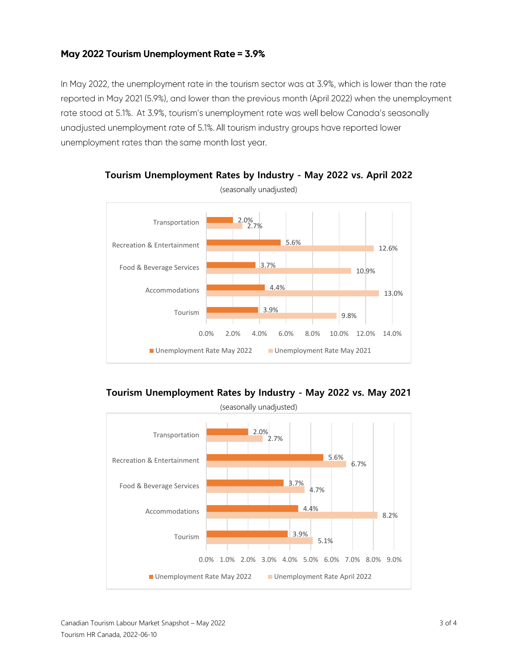## May 2022 Tourism Unemployment Rate = 3.9%

In May 2022, the unemployment rate in the tourism sector was at 3.9%, which is lower than the rate reported in May 2021 (5.9%), and lower than the previous month (April 2022) when the unemployment rate stood at 5.1%. At 3.9%, tourism's unemployment rate was well below Canada's seasonally unadjusted unemployment rate of 5.1%. All tourism industry groups have reported lower unemployment rates than the same month last year.



**Tourism Unemployment Rates by Industry - May 2022 vs. April 2022**

**Tourism Unemployment Rates by Industry - May 2022 vs. May 2021**